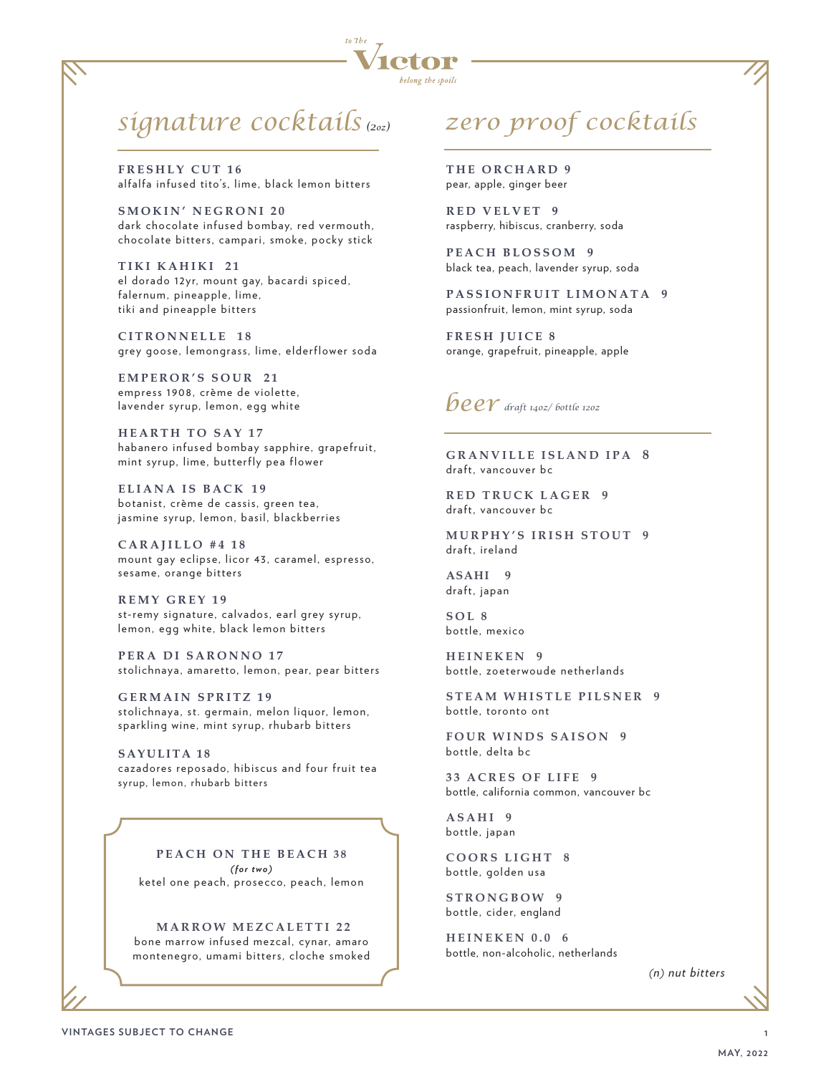

### *signature cocktails (2oz) zero proof cocktails*

**FRESHLY CUT 16** alfalfa infused tito's, lime, black lemon bitters

**SMOKIN' NEGRONI 20** dark chocolate infused bombay, red vermouth, chocolate bitters, campari, smoke, pocky stick

**TIKI KAHIKI 21** el dorado 12yr, mount gay, bacardi spiced, falernum, pineapple, lime, tiki and pineapple bitters

**CITRONNELLE 18** grey goose, lemongrass, lime, elderflower soda

**EMPEROR'S SOUR 21** empress 1908, crème de violette, lavender syrup, lemon, egg white

**HEARTH TO SAY 17** habanero infused bombay sapphire, grapefruit, mint syrup, lime, butterfly pea flower

**ELIANA IS BACK 19** botanist, crème de cassis, green tea, jasmine syrup, lemon, basil, blackberries

**CARAJILLO #4 18** mount gay eclipse, licor 43, caramel, espresso, sesame, orange bitters

**REMY GREY 19** st-remy signature, calvados, earl grey syrup, lemon, egg white, black lemon bitters

**PERA DI SARONNO 17** stolichnaya, amaretto, lemon, pear, pear bitters

**GERMAIN SPRITZ 19** stolichnaya, st. germain, melon liquor, lemon, sparkling wine, mint syrup, rhubarb bitters

**SAYULITA 18** cazadores reposado, hibiscus and four fruit tea syrup, lemon, rhubarb bitters

**PEACH ON THE BEACH 38** *(for two)* ketel one peach, prosecco, peach, lemon

**MARROW MEZCALETTI 22** bone marrow infused mezcal, cynar, amaro montenegro, umami bitters, cloche smoked

**THE ORCHARD 9** pear, apple, ginger beer

**RED VELVET 9** raspberry, hibiscus, cranberry, soda

**PEACH BLOSSOM 9** black tea, peach, lavender syrup, soda

**PASSIONFRUIT LIMONATA 9** passionfruit, lemon, mint syrup, soda

**FRESH JUICE 8** orange, grapefruit, pineapple, apple



**GRANVILLE ISLAND IPA 8** draft, vancouver bc

**RED TRUCK LAGER 9** draft, vancouver bc

**MURPHY'S IRISH STOUT 9** draft, ireland

**ASAHI 9** draft, japan

**SOL 8** bottle, mexico

**HEINEKEN 9** bottle, zoeterwoude netherlands

**STEAM WHISTLE PILSNER 9** bottle, toronto ont

**FOUR WINDS SAISON 9** bottle, delta bc

**33 ACRES OF LIFE 9** bottle, california common, vancouver bc

**ASAHI 9** bottle, japan

**COORS LIGHT 8** bottle, golden usa

**STRONGBOW 9** bottle, cider, england

**HEINEKEN 0.0 6** bottle, non-alcoholic, netherlands

*(n) nut bitters*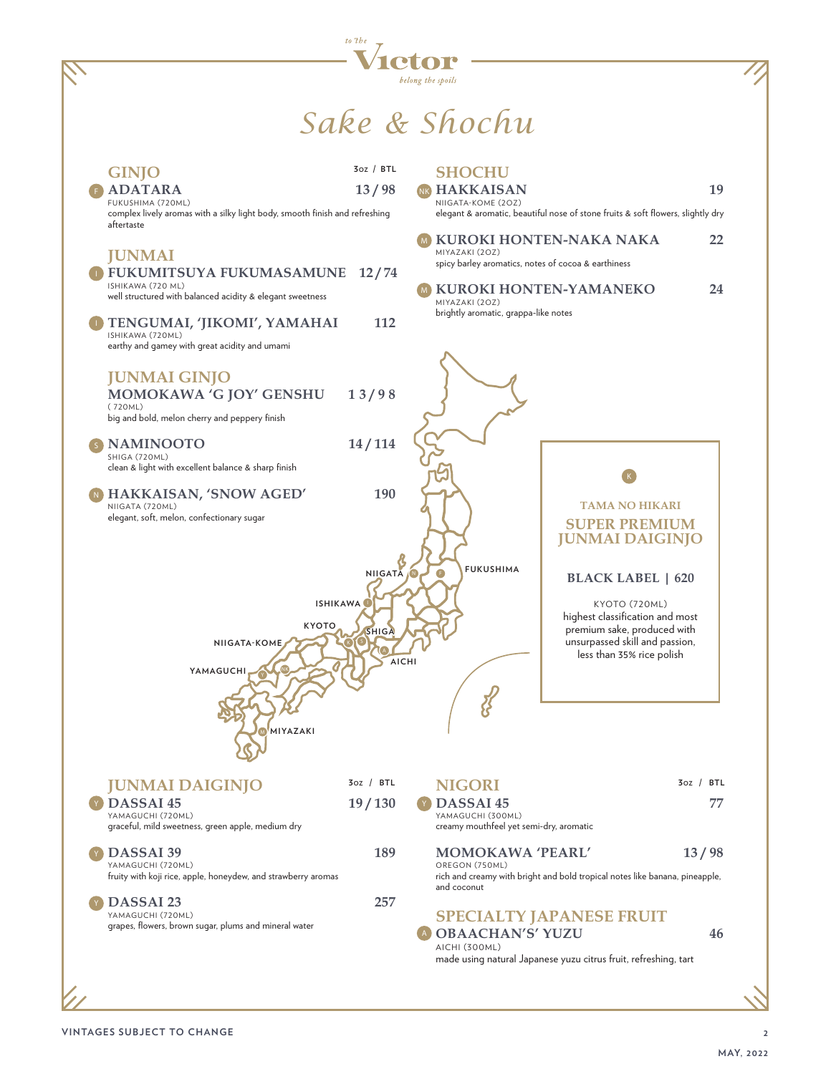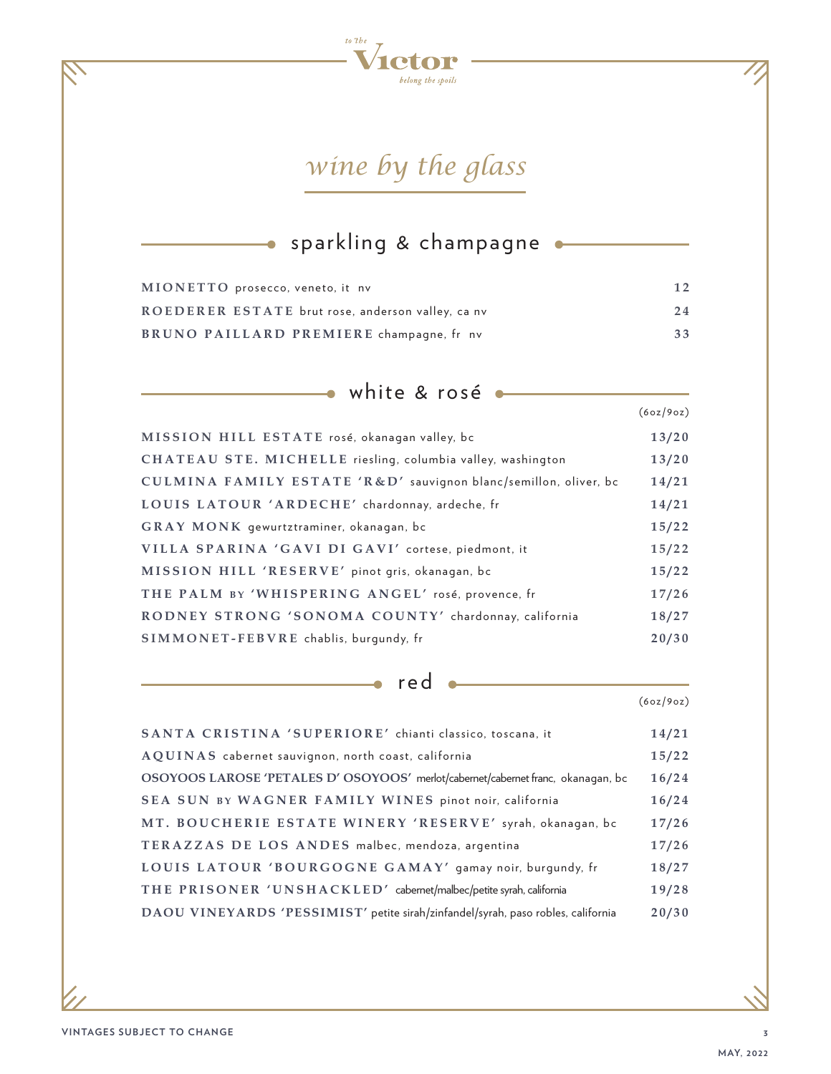

## *wine by the glass*

#### sparkling & champagne  $\bullet$

| MIONETTO prosecco, veneto, it nv                  | 12 |
|---------------------------------------------------|----|
| ROEDERER ESTATE brut rose, anderson valley, ca nv | 24 |
| BRUNO PAILLARD PREMIERE champagne, fr nv          | 33 |

| white & rosé                                                       |           |
|--------------------------------------------------------------------|-----------|
|                                                                    | (6oz/9oz) |
| MISSION HILL ESTATE rosé, okanagan valley, bc                      | 13/20     |
| <b>CHATEAU STE. MICHELLE</b> riesling, columbia valley, washington | 13/20     |
| CULMINA FAMILY ESTATE 'R&D' sauvignon blanc/semillon, oliver, bc   | 14/21     |
| LOUIS LATOUR 'ARDECHE' chardonnay, ardeche, fr                     | 14/21     |
| GRAY MONK gewurtztraminer, okanagan, bc                            | 15/22     |
| VILLA SPARINA 'GAVI DI GAVI' cortese, piedmont, it                 | 15/22     |
| MISSION HILL 'RESERVE' pinot gris, okanagan, bc                    | 15/22     |
| THE PALM BY 'WHISPERING ANGEL' rosé, provence, fr                  | 17/26     |
| RODNEY STRONG 'SONOMA COUNTY' chardonnay, california               | 18/27     |
| SIMMONET-FEBVRE chablis, burgundy, fr                              | 20/30     |

red

ó

| SANTA CRISTINA 'SUPERIORE' chianti classico, toscana, it                         | 14/21 |
|----------------------------------------------------------------------------------|-------|
| AQUINAS cabernet sauvignon, north coast, california                              | 15/22 |
| OSOYOOS LAROSE 'PETALES D' OSOYOOS' merlot/cabernet/cabernet franc, okanagan, bc | 16/24 |
| SEA SUN BY WAGNER FAMILY WINES pinot noir, california                            | 16/24 |
| MT. BOUCHERIE ESTATE WINERY 'RESERVE' syrah, okanagan, bc                        | 17/26 |
| TERAZZAS DE LOS ANDES malbec, mendoza, argentina                                 | 17/26 |
| LOUIS LATOUR 'BOURGOGNE GAMAY' gamay noir, burgundy, fr                          | 18/27 |
| THE PRISONER 'UNSHACKLED' cabernet/malbec/petite syrah, california               | 19/28 |
| DAOU VINEYARDS 'PESSIMIST' petite sirah/zinfandel/syrah, paso robles, california | 20/30 |
|                                                                                  |       |

(6oz/9oz)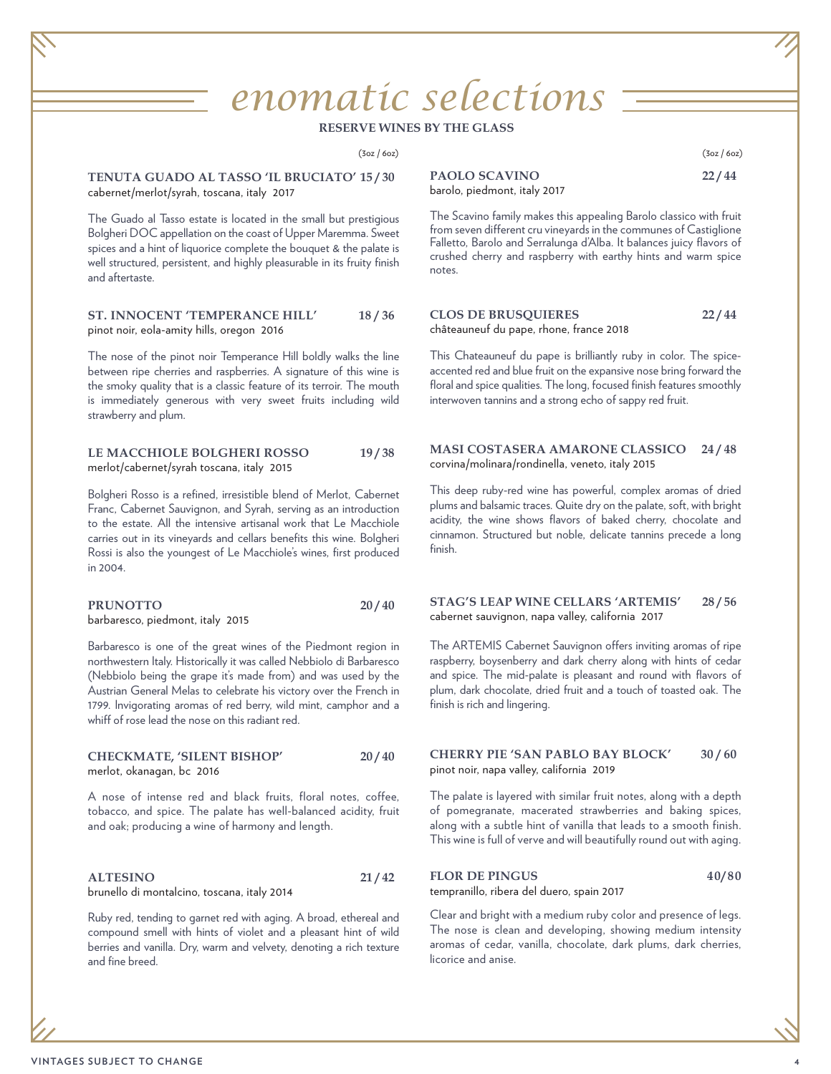# *enomatic selections*

#### **RESERVE WINES BY THE GLASS**

 $(3\alpha z / 6\alpha z)$  (3oz / 6oz)

**TENUTA GUADO AL TASSO 'IL BRUCIATO' 15 / 30** cabernet/merlot/syrah, toscana, italy 2017

The Guado al Tasso estate is located in the small but prestigious Bolgheri DOC appellation on the coast of Upper Maremma. Sweet spices and a hint of liquorice complete the bouquet & the palate is well structured, persistent, and highly pleasurable in its fruity finish and aftertaste.

**ST. INNOCENT 'TEMPERANCE HILL' 18 / 36** pinot noir, eola-amity hills, oregon 2016

The nose of the pinot noir Temperance Hill boldly walks the line between ripe cherries and raspberries. A signature of this wine is the smoky quality that is a classic feature of its terroir. The mouth is immediately generous with very sweet fruits including wild strawberry and plum.

#### LE MACCHIOLE BOLGHERI ROSSO 19/38 merlot/cabernet/syrah toscana, italy 2015

Bolgheri Rosso is a refined, irresistible blend of Merlot, Cabernet Franc, Cabernet Sauvignon, and Syrah, serving as an introduction to the estate. All the intensive artisanal work that Le Macchiole carries out in its vineyards and cellars benefits this wine. Bolgheri Rossi is also the youngest of Le Macchiole's wines, first produced in 2004.

| <b>PRUNOTTO</b>                  | 20/40 |
|----------------------------------|-------|
| barbaresco, piedmont, italy 2015 |       |

Barbaresco is one of the great wines of the Piedmont region in northwestern Italy. Historically it was called Nebbiolo di Barbaresco (Nebbiolo being the grape it's made from) and was used by the Austrian General Melas to celebrate his victory over the French in 1799. Invigorating aromas of red berry, wild mint, camphor and a whiff of rose lead the nose on this radiant red.

#### **CHECKMATE, 'SILENT BISHOP' 20 / 40** merlot, okanagan, bc 2016

A nose of intense red and black fruits, floral notes, coffee, tobacco, and spice. The palate has well-balanced acidity, fruit and oak; producing a wine of harmony and length.

| <b>ALTESINO</b>                             | 21/42 |
|---------------------------------------------|-------|
| brunello di montalcino, toscana, italy 2014 |       |

Ruby red, tending to garnet red with aging. A broad, ethereal and compound smell with hints of violet and a pleasant hint of wild berries and vanilla. Dry, warm and velvety, denoting a rich texture and fine breed.

| <b>PAOLO SCAVINO</b>         | 22/44 |
|------------------------------|-------|
| barolo, piedmont, italy 2017 |       |

The Scavino family makes this appealing Barolo classico with fruit from seven different cru vineyards in the communes of Castiglione Falletto, Barolo and Serralunga d'Alba. It balances juicy flavors of crushed cherry and raspberry with earthy hints and warm spice notes.

#### **CLOS DE BRUSQUIERES 22 / 44** châteauneuf du pape, rhone, france 2018

This Chateauneuf du pape is brilliantly ruby in color. The spiceaccented red and blue fruit on the expansive nose bring forward the floral and spice qualities. The long, focused finish features smoothly interwoven tannins and a strong echo of sappy red fruit.

#### **MASI COSTASERA AMARONE CLASSICO 24 / 48** corvina/molinara/rondinella, veneto, italy 2015

This deep ruby-red wine has powerful, complex aromas of dried plums and balsamic traces. Quite dry on the palate, soft, with bright acidity, the wine shows flavors of baked cherry, chocolate and cinnamon. Structured but noble, delicate tannins precede a long finish.

#### **STAG'S LEAP WINE CELLARS 'ARTEMIS' 28 / 56** cabernet sauvignon, napa valley, california 2017

The ARTEMIS Cabernet Sauvignon offers inviting aromas of ripe raspberry, boysenberry and dark cherry along with hints of cedar and spice. The mid-palate is pleasant and round with flavors of plum, dark chocolate, dried fruit and a touch of toasted oak. The finish is rich and lingering.

#### **CHERRY PIE 'SAN PABLO BAY BLOCK' 30 / 60** pinot noir, napa valley, california 2019

The palate is layered with similar fruit notes, along with a depth of pomegranate, macerated strawberries and baking spices, along with a subtle hint of vanilla that leads to a smooth finish. This wine is full of verve and will beautifully round out with aging.

#### FLOR DE PINGUS 40/80 tempranillo, ribera del duero, spain 2017

Clear and bright with a medium ruby color and presence of legs. The nose is clean and developing, showing medium intensity aromas of cedar, vanilla, chocolate, dark plums, dark cherries, licorice and anise.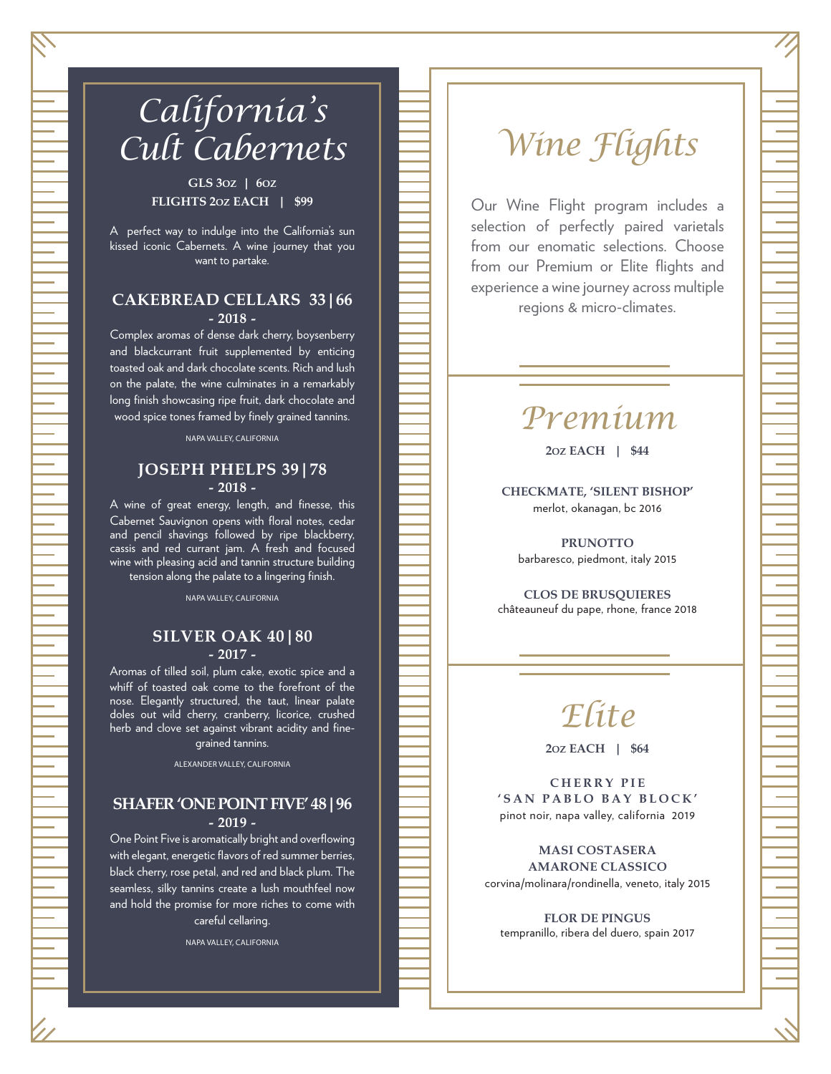

## *California's Cult Cabernets*

**GLS 3OZ | 6OZ FLIGHTS 2OZ EACH | \$99**

A perfect way to indulge into the California's sun kissed iconic Cabernets. A wine journey that you want to partake.

### **CAKEBREAD CELLARS 33|66 - 2018 -**

Complex aromas of dense dark cherry, boysenberry and blackcurrant fruit supplemented by enticing toasted oak and dark chocolate scents. Rich and lush on the palate, the wine culminates in a remarkably long finish showcasing ripe fruit, dark chocolate and wood spice tones framed by finely grained tannins.

NAPA VALLEY, CALIFORNIA

### **JOSEPH PHELPS 39|78 - 2018 -**

A wine of great energy, length, and finesse, this Cabernet Sauvignon opens with floral notes, cedar and pencil shavings followed by ripe blackberry, cassis and red currant jam. A fresh and focused wine with pleasing acid and tannin structure building tension along the palate to a lingering finish.

NAPA VALLEY, CALIFORNIA

### **SILVER OAK 40|80 - 2017 -**

Aromas of tilled soil, plum cake, exotic spice and a whiff of toasted oak come to the forefront of the nose. Elegantly structured, the taut, linear palate doles out wild cherry, cranberry, licorice, crushed herb and clove set against vibrant acidity and finegrained tannins.

ALEXANDER VALLEY, CALIFORNIA

#### **SHAFER 'ONE POINT FIVE' 48|96 - 2019 -**

One Point Five is aromatically bright and overflowing with elegant, energetic flavors of red summer berries, black cherry, rose petal, and red and black plum. The seamless, silky tannins create a lush mouthfeel now and hold the promise for more riches to come with careful cellaring.

NAPA VALLEY, CALIFORNIA

## *Wine Flights*

Our Wine Flight program includes a selection of perfectly paired varietals from our enomatic selections. Choose from our Premium or Elite flights and experience a wine journey across multiple regions & micro-climates.

## *Premium*

**2OZ EACH | \$44**

**CHECKMATE, 'SILENT BISHOP'** merlot, okanagan, bc 2016

**PRUNOTTO** barbaresco, piedmont, italy 2015

**CLOS DE BRUSQUIERES**  châteauneuf du pape, rhone, france 2018



**2OZ EACH | \$64**

**C H E R R Y P I E 'SAN PABLO BAY BLOCK'** pinot noir, napa valley, california 2019

**MASI COSTASERA AMARONE CLASSICO** corvina/molinara/rondinella, veneto, italy 2015

**FLOR DE PINGUS** tempranillo, ribera del duero, spain 2017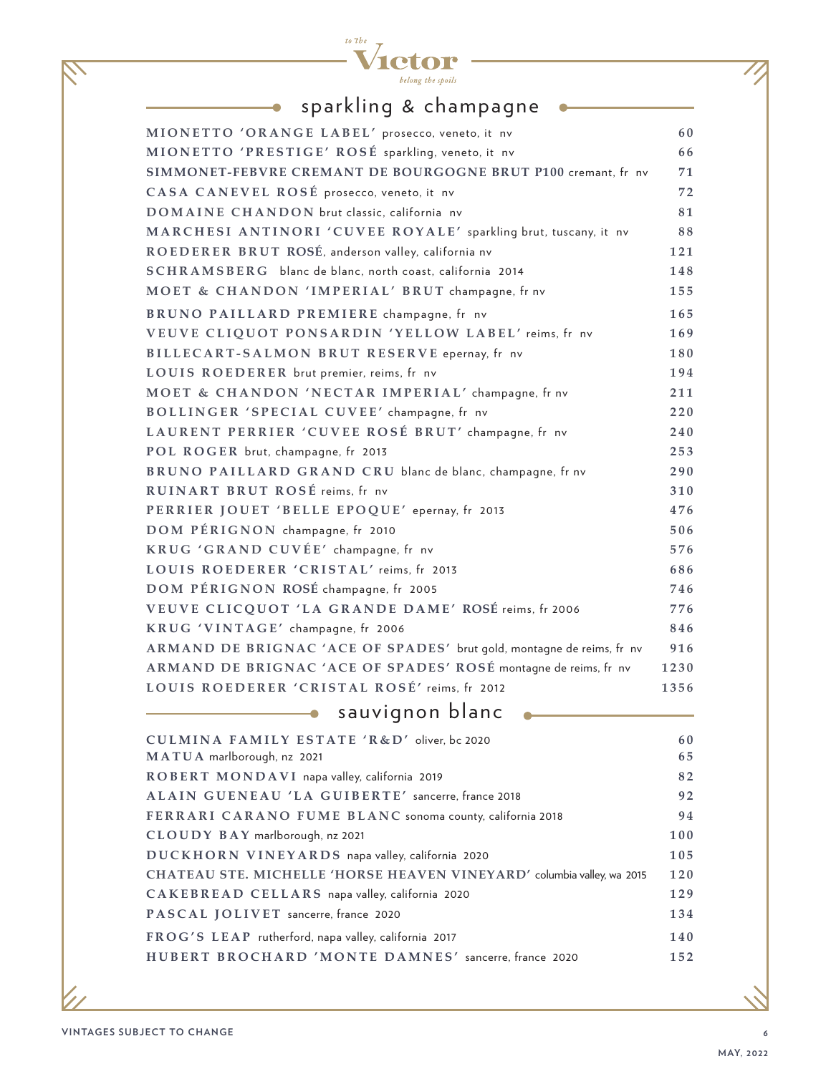

 $\bullet$ 

### sparkling & champagne

 $\bullet$ 

| MIONETTO 'ORANGE LABEL' prosecco, veneto, it nv                        | 60   |
|------------------------------------------------------------------------|------|
| MIONETTO 'PRESTIGE' ROSÉ sparkling, veneto, it nv                      | 66   |
| SIMMONET-FEBVRE CREMANT DE BOURGOGNE BRUT P100 cremant, fr nv          | 71   |
| CASA CANEVEL ROSÉ prosecco, veneto, it nv                              | 72   |
| DOMAINE CHANDON brut classic, california nv                            | 81   |
| MARCHESI ANTINORI 'CUVEE ROYALE' sparkling brut, tuscany, it nv        | 88   |
| ROEDERER BRUT ROSÉ, anderson valley, california nv                     | 121  |
| SCHRAMSBERG blanc de blanc, north coast, california 2014               | 148  |
| MOET & CHANDON 'IMPERIAL' BRUT champagne, fr nv                        | 155  |
| BRUNO PAILLARD PREMIERE champagne, fr nv                               | 165  |
| VEUVE CLIQUOT PONSARDIN 'YELLOW LABEL' reims, fr nv                    | 169  |
| BILLECART-SALMON BRUT RESERVE epernay, fr nv                           | 180  |
| LOUIS ROEDERER brut premier, reims, fr nv                              | 194  |
| MOET & CHANDON 'NECTAR IMPERIAL' champagne, fr nv                      | 211  |
| BOLLINGER 'SPECIAL CUVEE' champagne, fr nv                             | 220  |
| LAURENT PERRIER 'CUVEE ROSÉ BRUT' champagne, fr nv                     | 240  |
| POL ROGER brut, champagne, fr 2013                                     | 253  |
| BRUNO PAILLARD GRAND CRU blanc de blanc, champagne, fr nv              | 290  |
| RUINART BRUT ROSÉ reims, fr nv                                         | 310  |
| PERRIER JOUET 'BELLE EPOQUE' epernay, fr 2013                          | 476  |
| DOM PÉRIGNON champagne, fr 2010                                        | 506  |
| KRUG 'GRAND CUVÉE' champagne, fr nv                                    | 576  |
| LOUIS ROEDERER 'CRISTAL' reims, fr 2013                                | 686  |
| DOM PÉRIGNON ROSÉ champagne, fr 2005                                   | 746  |
| VEUVE CLICQUOT 'LA GRANDE DAME' ROSÉ reims, fr 2006                    | 776  |
| KRUG 'VINTAGE' champagne, fr 2006                                      | 846  |
| ARMAND DE BRIGNAC 'ACE OF SPADES' brut gold, montagne de reims, fr nv  | 916  |
| ARMAND DE BRIGNAC 'ACE OF SPADES' ROSÉ montagne de reims, fr nv        | 1230 |
| LOUIS ROEDERER 'CRISTAL ROSÉ' reims, fr 2012                           | 1356 |
| sauvignon blanc                                                        |      |
| CULMINA FAMILY ESTATE 'R&D' oliver, bc 2020                            | 60   |
| MATUA marlborough, nz 2021                                             | 65   |
| ROBERT MONDAVI napa valley, california 2019                            | 82   |
| ALAIN GUENEAU 'LA GUIBERTE' sancerre, france 2018                      | 92   |
| FERRARI CARANO FUME BLANC sonoma county, california 2018               | 94   |
| CLOUDY BAY marlborough, nz 2021                                        | 100  |
| DUCKHORN VINEYARDS napa valley, california 2020                        | 105  |
| CHATEAU STE. MICHELLE 'HORSE HEAVEN VINEYARD' columbia valley, wa 2015 | 120  |
| CAKEBREAD CELLARS napa valley, california 2020                         | 129  |
| PASCAL JOLIVET sancerre, france 2020                                   | 134  |
| FROG'S LEAP rutherford, napa valley, california 2017                   | 140  |
| HUBERT BROCHARD 'MONTE DAMNES' sancerre, france 2020                   | 152  |
|                                                                        |      |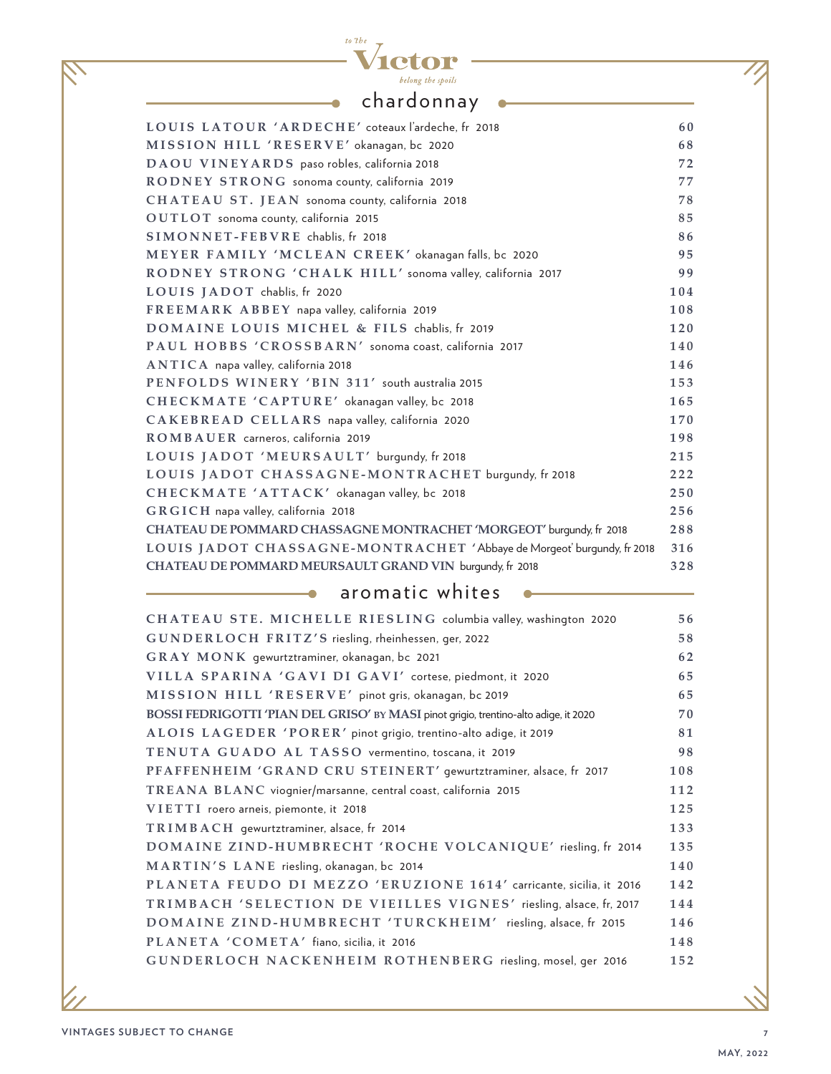### belong the spoils chardonnay •

**1ctor** 

 $to 7be$  $\overline{\mathbf{V}}$ 

 $\overline{\phantom{a}}$ 

| LOUIS LATOUR 'ARDECHE' coteaux l'ardeche, fr 2018                      | 60  |
|------------------------------------------------------------------------|-----|
| MISSION HILL 'RESERVE' okanagan, bc 2020                               | 68  |
| DAOU VINEYARDS paso robles, california 2018                            | 72  |
| RODNEY STRONG sonoma county, california 2019                           | 77  |
| CHATEAU ST. JEAN sonoma county, california 2018                        | 78  |
| OUTLOT sonoma county, california 2015                                  | 85  |
| SIMONNET-FEBVRE chablis, fr 2018                                       | 86  |
| MEYER FAMILY 'MCLEAN CREEK' okanagan falls, bc 2020                    | 95  |
| RODNEY STRONG 'CHALK HILL' sonoma valley, california 2017              | 99  |
| LOUIS JADOT chablis, fr 2020                                           | 104 |
| FREEMARK ABBEY napa valley, california 2019                            | 108 |
| DOMAINE LOUIS MICHEL & FILS chablis, fr 2019                           | 120 |
| PAUL HOBBS 'CROSSBARN' sonoma coast, california 2017                   | 140 |
| ANTICA napa valley, california 2018                                    | 146 |
| PENFOLDS WINERY 'BIN 311' south australia 2015                         | 153 |
| CHECKMATE 'CAPTURE' okanagan valley, bc 2018                           | 165 |
| CAKEBREAD CELLARS napa valley, california 2020                         | 170 |
| ROMBAUER carneros, california 2019                                     | 198 |
| LOUIS JADOT 'MEURSAULT' burgundy, fr 2018                              | 215 |
| LOUIS JADOT CHASSAGNE-MONTRACHET burgundy, fr 2018                     | 222 |
| CHECKMATE 'ATTACK' okanagan valley, bc 2018                            | 250 |
| GRGICH napa valley, california 2018                                    | 256 |
| CHATEAU DE POMMARD CHASSAGNE MONTRACHET 'MORGEOT' burqundy, fr 2018    | 288 |
| LOUIS JADOT CHASSAGNE-MONTRACHET 'Abbaye de Morgeot' burgundy, fr 2018 | 316 |
| CHATEAU DE POMMARD MEURSAULT GRAND VIN burqundy, fr 2018               | 328 |

### **aromatic whites**

| CHATEAU STE. MICHELLE RIESLING columbia valley, washington 2020                      | 56  |
|--------------------------------------------------------------------------------------|-----|
| GUNDERLOCH FRITZ'S riesling, rheinhessen, ger, 2022                                  | 58  |
| GRAY MONK gewurtztraminer, okanagan, bc 2021                                         | 62  |
| VILLA SPARINA 'GAVI DI GAVI' cortese, piedmont, it 2020                              | 65  |
| MISSION HILL 'RESERVE' pinot gris, okanagan, bc 2019                                 | 65  |
| BOSSI FEDRIGOTTI 'PIAN DEL GRISO' BY MASI pinot grigio, trentino-alto adige, it 2020 | 70  |
| ALOIS LAGEDER 'PORER' pinot grigio, trentino-alto adige, it 2019                     | 81  |
| TENUTA GUADO AL TASSO vermentino, toscana, it 2019                                   | 98  |
| PFAFFENHEIM 'GRAND CRU STEINERT' gewurtztraminer, alsace, fr 2017                    | 108 |
| TREANA BLANC viognier/marsanne, central coast, california 2015                       | 112 |
| VIETTI roero arneis, piemonte, it 2018                                               | 125 |
| TRIMBACH gewurtztraminer, alsace, fr 2014                                            | 133 |
| DOMAINE ZIND-HUMBRECHT 'ROCHE VOLCANIQUE' riesling, fr 2014                          | 135 |
| MARTIN'S LANE riesling, okanagan, bc 2014                                            | 140 |
| PLANETA FEUDO DI MEZZO 'ERUZIONE 1614' carricante, sicilia, it 2016                  | 142 |
| TRIMBACH 'SELECTION DE VIEILLES VIGNES' riesling, alsace, fr, 2017                   | 144 |
| DOMAINE ZIND-HUMBRECHT 'TURCKHEIM' riesling, alsace, fr 2015                         | 146 |
| PLANETA 'COMETA' fiano, sicilia, it 2016                                             | 148 |
| GUNDERLOCH NACKENHEIM ROTHENBERG riesling, mosel, ger 2016                           | 152 |
|                                                                                      |     |

╱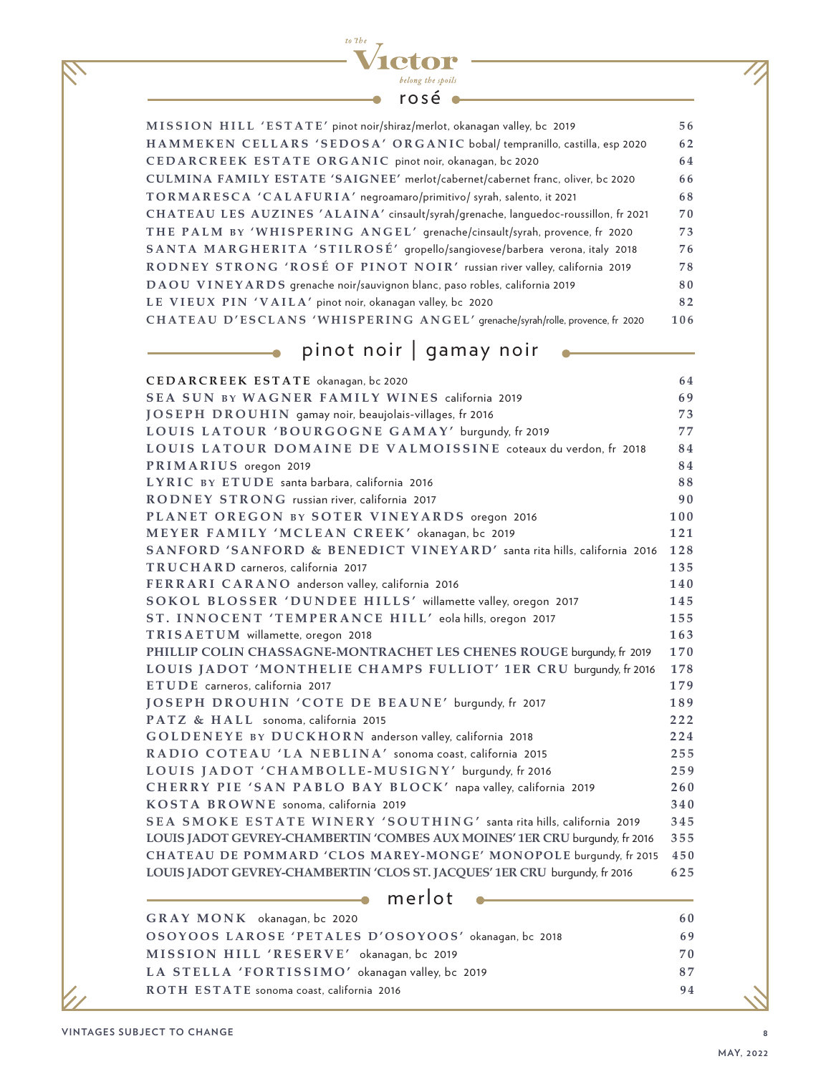#### $to 7be$  $\overline{\mathcal{L}}$ etor Ĺ belong the spoils rosé  $\bullet$

| MISSION HILL 'ESTATE' pinot noir/shiraz/merlot, okanagan valley, bc 2019            | 56  |
|-------------------------------------------------------------------------------------|-----|
| HAMMEKEN CELLARS 'SEDOSA' ORGANIC bobal/tempranillo, castilla, esp 2020             | 62  |
| CEDARCREEK ESTATE ORGANIC pinot noir, okanagan, bc 2020                             | 64  |
| CULMINA FAMILY ESTATE 'SAIGNEE' merlot/cabernet/cabernet franc, oliver, bc 2020     | 66  |
| TORMARESCA 'CALAFURIA' negroamaro/primitivo/ syrah, salento, it 2021                | 68  |
| CHATEAU LES AUZINES 'ALAINA' cinsault/syrah/grenache, languedoc-roussillon, fr 2021 | 70  |
| THE PALM BY 'WHISPERING ANGEL' grenache/cinsault/syrah, provence, fr 2020           | 73  |
| SANTA MARGHERITA 'STILROSÉ' gropello/sangiovese/barbera verona, italy 2018          | 76  |
| RODNEY STRONG 'ROSÉ OF PINOT NOIR' russian river valley, california 2019            | 78  |
| DAOU VINEYARDS grenache noir/sauvignon blanc, paso robles, california 2019          | 80  |
| LE VIEUX PIN 'VAILA' pinot noir, okanagan valley, bc 2020                           | 82  |
| CHATEAU D'ESCLANS 'WHISPERING ANGEL' grenache/syrah/rolle, provence, fr 2020        | 106 |
|                                                                                     |     |

### **come pinot noir | gamay noir**  $\begin{picture}(18,17) \put(0,0){\line(1,0){10}} \put(0,0){\line(1,0){10}} \put(10,0){\line(1,0){10}} \put(10,0){\line(1,0){10}} \put(10,0){\line(1,0){10}} \put(10,0){\line(1,0){10}} \put(10,0){\line(1,0){10}} \put(10,0){\line(1,0){10}} \put(10,0){\line(1,0){10}} \put(10,0){\line(1,0){10}} \$

| CEDARCREEK ESTATE okanagan, bc 2020                                         | 64  |
|-----------------------------------------------------------------------------|-----|
| SEA SUN BY WAGNER FAMILY WINES california 2019                              | 69  |
| JOSEPH DROUHIN gamay noir, beaujolais-villages, fr 2016                     | 73  |
| LOUIS LATOUR 'BOURGOGNE GAMAY' burgundy, fr 2019                            | 77  |
| LOUIS LATOUR DOMAINE DE VALMOISSINE coteaux du verdon, fr 2018              | 84  |
| PRIMARIUS oregon 2019                                                       | 84  |
| LYRIC BY ETUDE santa barbara, california 2016                               | 88  |
| RODNEY STRONG russian river, california 2017                                | 90  |
| PLANET OREGON BY SOTER VINEYARDS oregon 2016                                | 100 |
| MEYER FAMILY 'MCLEAN CREEK' okanagan, bc 2019                               | 121 |
| SANFORD 'SANFORD & BENEDICT VINEYARD' santa rita hills, california 2016     | 128 |
| TRUCHARD carneros, california 2017                                          | 135 |
| FERRARI CARANO anderson valley, california 2016                             | 140 |
| SOKOL BLOSSER 'DUNDEE HILLS' willamette valley, oregon 2017                 | 145 |
| ST. INNOCENT 'TEMPERANCE HILL' eola hills, oregon 2017                      | 155 |
| TRISAETUM willamette, oregon 2018                                           | 163 |
| PHILLIP COLIN CHASSAGNE-MONTRACHET LES CHENES ROUGE burqundy, fr 2019       | 170 |
| LOUIS JADOT 'MONTHELIE CHAMPS FULLIOT' 1ER CRU burqundy, fr 2016            | 178 |
| ETUDE carneros, california 2017                                             | 179 |
| JOSEPH DROUHIN 'COTE DE BEAUNE' burgundy, fr 2017                           | 189 |
| PATZ & HALL sonoma, california 2015                                         | 222 |
| GOLDENEYE BY DUCKHORN anderson valley, california 2018                      | 224 |
| RADIO COTEAU 'LA NEBLINA' sonoma coast, california 2015                     | 255 |
| LOUIS JADOT 'CHAMBOLLE-MUSIGNY' burgundy, fr 2016                           | 259 |
| CHERRY PIE 'SAN PABLO BAY BLOCK' napa valley, california 2019               | 260 |
| KOSTA BROWNE sonoma, california 2019                                        | 340 |
| SEA SMOKE ESTATE WINERY 'SOUTHING' santa rita hills, california 2019        | 345 |
| LOUIS JADOT GEVREY-CHAMBERTIN 'COMBES AUX MOINES' 1ER CRU burqundy, fr 2016 | 355 |
| CHATEAU DE POMMARD 'CLOS MAREY-MONGE' MONOPOLE burgundy, fr 2015            | 450 |
| LOUIS JADOT GEVREY-CHAMBERTIN 'CLOS ST. JACQUES' 1ER CRU burqundy, fr 2016  | 625 |
| merlot                                                                      |     |
| GRAY MONK okanagan, bc 2020                                                 | 60  |
| OSOVOOS LAROSE 'RETALES D'OSOVOOS' ekanomie 2018                            | 60  |

| GRAY MONK okanagan, bc 2020                          | -60 |
|------------------------------------------------------|-----|
| OSOYOOS LAROSE 'PETALES D'OSOYOOS' okanagan, bc 2018 | 69  |
| MISSION HILL 'RESERVE' okanagan, bc 2019             | 70  |
| LA STELLA 'FORTISSIMO' okanagan valley, bc 2019      | 87  |
| ROTH ESTATE sonoma coast, california 2016            | 94  |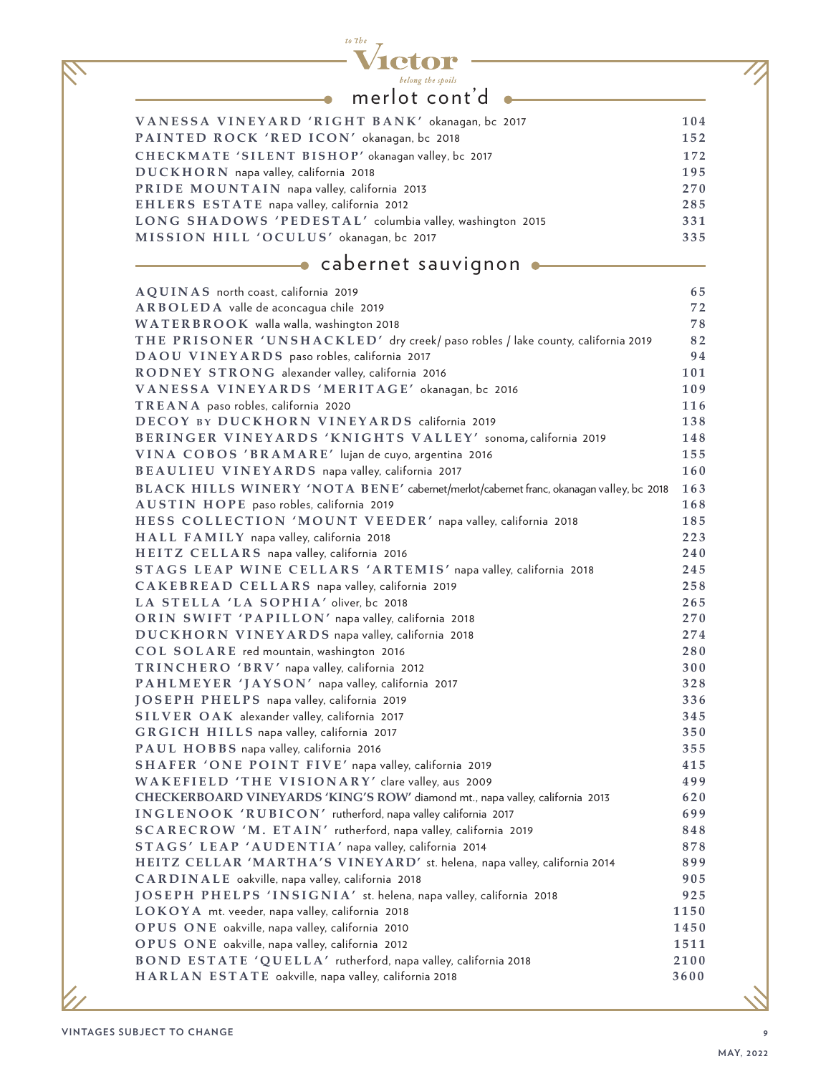

 $\bullet$ 

### merlot cont'd

<u> 1980 - Johann Barbara, martxa alemaniar a</u>

| VANESSA VINEYARD 'RIGHT BANK' okanagan, bc 2017          | 104 |
|----------------------------------------------------------|-----|
| PAINTED ROCK 'RED ICON' okanagan, bc 2018                | 152 |
| CHECKMATE 'SILENT BISHOP' okanagan valley, bc 2017       | 172 |
| DUCKHORN napa valley, california 2018                    | 195 |
| PRIDE MOUNTAIN napa valley, california 2013              | 270 |
| EHLERS ESTATE napa valley, california 2012               | 285 |
| LONG SHADOWS 'PEDESTAL' columbia valley, washington 2015 | 331 |
| MISSION HILL 'OCULUS' okanagan, bc 2017                  | 335 |
|                                                          |     |

### **cabernet sauvignon**

| AQUINAS north coast, california 2019                                                    | 65   |
|-----------------------------------------------------------------------------------------|------|
| ARBOLEDA valle de aconcagua chile 2019                                                  | 72   |
| WATERBROOK walla walla, washington 2018                                                 | 78   |
| THE PRISONER 'UNSHACKLED' dry creek/ paso robles / lake county, california 2019         | 82   |
| DAOU VINEYARDS paso robles, california 2017                                             | 94   |
| RODNEY STRONG alexander valley, california 2016                                         | 101  |
| VANESSA VINEYARDS 'MERITAGE' okanagan, bc 2016                                          | 109  |
| TREANA paso robles, california 2020                                                     | 116  |
| DECOY BY DUCKHORN VINEYARDS california 2019                                             | 138  |
| BERINGER VINEYARDS 'KNIGHTS VALLEY' sonoma, california 2019                             | 148  |
| VINA COBOS 'BRAMARE' lujan de cuyo, argentina 2016                                      | 155  |
| BEAULIEU VINEYARDS napa valley, california 2017                                         | 160  |
| BLACK HILLS WINERY 'NOTA BENE' cabernet/merlot/cabernet franc, okanagan valley, bc 2018 | 163  |
| AUSTIN HOPE paso robles, california 2019                                                | 168  |
| HESS COLLECTION 'MOUNT VEEDER' napa valley, california 2018                             | 185  |
| HALL FAMILY napa valley, california 2018                                                | 223  |
| HEITZ CELLARS napa valley, california 2016                                              | 240  |
| STAGS LEAP WINE CELLARS 'ARTEMIS' napa valley, california 2018                          | 245  |
| CAKEBREAD CELLARS napa valley, california 2019                                          | 258  |
| LA STELLA 'LA SOPHIA' oliver, bc 2018                                                   | 265  |
| ORIN SWIFT 'PAPILLON' napa valley, california 2018                                      | 270  |
| DUCKHORN VINEYARDS napa valley, california 2018                                         | 274  |
| COL SOLARE red mountain, washington 2016                                                | 280  |
| TRINCHERO 'BRV' napa valley, california 2012                                            | 300  |
| PAHLMEYER 'JAYSON' napa valley, california 2017                                         | 328  |
| JOSEPH PHELPS napa valley, california 2019                                              | 336  |
| SILVER OAK alexander valley, california 2017                                            | 345  |
| GRGICH HILLS napa valley, california 2017                                               | 350  |
| PAUL HOBBS napa valley, california 2016                                                 | 355  |
| SHAFER 'ONE POINT FIVE' napa valley, california 2019                                    | 415  |
| WAKEFIELD 'THE VISIONARY' clare valley, aus 2009                                        | 499  |
| CHECKERBOARD VINEYARDS 'KING'S ROW' diamond mt., napa valley, california 2013           | 620  |
| INGLENOOK 'RUBICON' rutherford, napa valley california 2017                             | 699  |
| SCARECROW 'M. ETAIN' rutherford, napa valley, california 2019                           | 848  |
| STAGS' LEAP 'AUDENTIA' napa valley, california 2014                                     | 878  |
| HEITZ CELLAR 'MARTHA'S VINEYARD' st. helena, napa valley, california 2014               | 899  |
| CARDINALE oakville, napa valley, california 2018                                        | 905  |
| JOSEPH PHELPS 'INSIGNIA' st. helena, napa valley, california 2018                       | 925  |
| LOKOYA mt. veeder, napa valley, california 2018                                         | 1150 |
| OPUS ONE oakville, napa valley, california 2010                                         | 1450 |
| OPUS ONE oakville, napa valley, california 2012                                         | 1511 |
| BOND ESTATE 'QUELLA' rutherford, napa valley, california 2018                           | 2100 |
| HARLAN ESTATE oakville, napa valley, california 2018                                    | 3600 |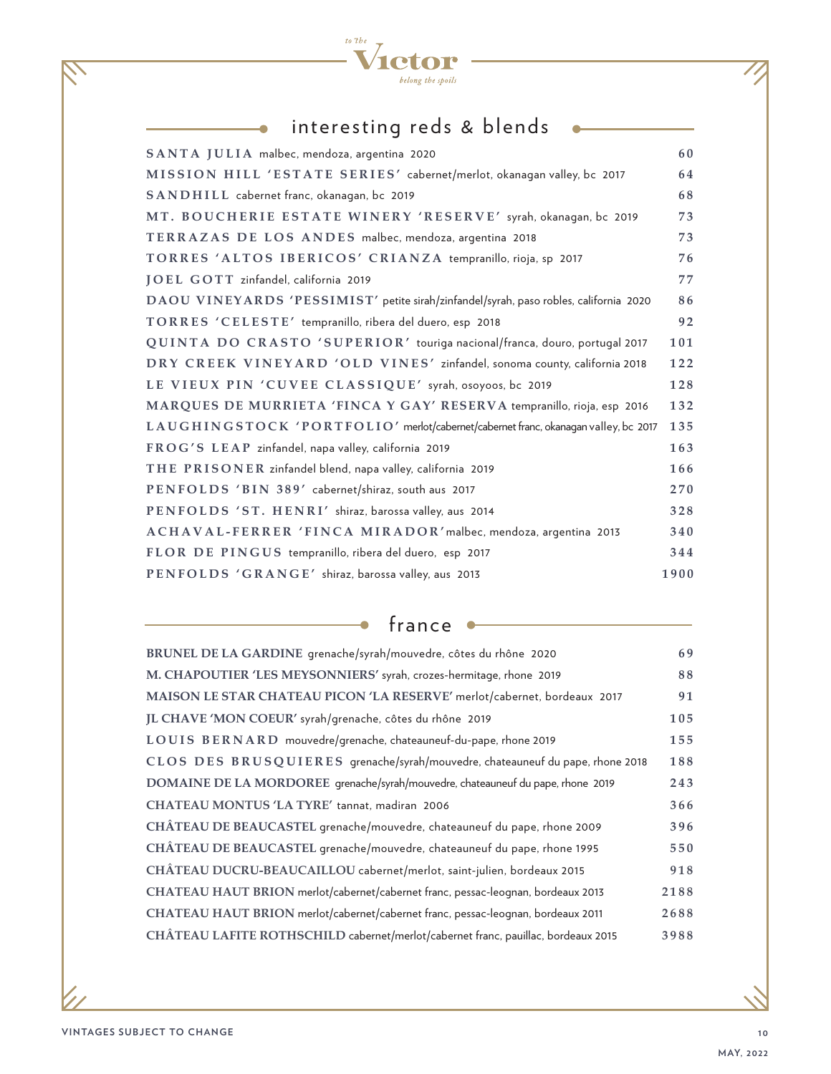

 $\ddot{\bullet}$ 

### interesting reds & blends • The Contract of the Contract of the Contract of the Contract of the Contract of the Contract of the Contract of the Contract of the Contract of the Contract of the Contract of the Contract of th

| SANTA JULIA malbec, mendoza, argentina 2020                                           | 60   |
|---------------------------------------------------------------------------------------|------|
| MISSION HILL 'ESTATE SERIES' cabernet/merlot, okanagan valley, bc 2017                | 64   |
| SANDHILL cabernet franc, okanagan, bc 2019                                            | 68   |
| MT. BOUCHERIE ESTATE WINERY 'RESERVE' syrah, okanagan, bc 2019                        | 73   |
| TERRAZAS DE LOS ANDES malbec, mendoza, argentina 2018                                 | 73   |
| TORRES 'ALTOS IBERICOS' CRIANZA tempranillo, rioja, sp 2017                           | 76   |
| JOEL GOTT zinfandel, california 2019                                                  | 77   |
| DAOU VINEYARDS 'PESSIMIST' petite sirah/zinfandel/syrah, paso robles, california 2020 | 86   |
| TORRES 'CELESTE' tempranillo, ribera del duero, esp 2018                              | 92   |
| QUINTA DO CRASTO 'SUPERIOR' touriga nacional/franca, douro, portugal 2017             | 101  |
| DRY CREEK VINEYARD 'OLD VINES' zinfandel, sonoma county, california 2018              | 122  |
| LE VIEUX PIN 'CUVEE CLASSIQUE' syrah, osoyoos, bc 2019                                | 128  |
| MARQUES DE MURRIETA 'FINCA Y GAY' RESERVA tempranillo, rioja, esp 2016                | 132  |
| LAUGHINGSTOCK 'PORTFOLIO' merlot/cabernet/cabernet franc, okanagan valley, bc 2017    | 135  |
| FROG'S LEAP zinfandel, napa valley, california 2019                                   | 163  |
| THE PRISONER zinfandel blend, napa valley, california 2019                            | 166  |
| PENFOLDS 'BIN 389' cabernet/shiraz, south aus 2017                                    | 270  |
| PENFOLDS 'ST. HENRI' shiraz, barossa valley, aus 2014                                 | 328  |
| ACHAVAL-FERRER 'FINCA MIRADOR' malbec, mendoza, argentina 2013                        | 340  |
| FLOR DE PINGUS tempranillo, ribera del duero, esp 2017                                | 344  |
| PENFOLDS 'GRANGE' shiraz, barossa valley, aus 2013                                    | 1900 |

france  $\bullet$ 

 $\overline{\phantom{a}}$ 

| BRUNEL DE LA GARDINE grenache/syrah/mouvedre, côtes du rhône 2020                 | 69   |
|-----------------------------------------------------------------------------------|------|
| M. CHAPOUTIER 'LES MEYSONNIERS' syrah, crozes-hermitage, rhone 2019               | 88   |
| MAISON LE STAR CHATEAU PICON 'LA RESERVE' merlot/cabernet, bordeaux 2017          | 91   |
| JL CHAVE 'MON COEUR' syrah/grenache, côtes du rhône 2019                          | 105  |
| LOUIS BERNARD mouvedre/grenache, chateauneuf-du-pape, rhone 2019                  | 155  |
| CLOS DES BRUSQUIERES grenache/syrah/mouvedre, chateauneuf du pape, rhone 2018     | 188  |
| DOMAINE DE LA MORDOREE grenache/syrah/mouvedre, chateauneuf du pape, rhone 2019   | 243  |
| CHATEAU MONTUS 'LA TYRE' tannat, madiran 2006                                     | 366  |
| CHÂTEAU DE BEAUCASTEL grenache/mouvedre, chateauneuf du pape, rhone 2009          | 396  |
| CHÂTEAU DE BEAUCASTEL grenache/mouvedre, chateauneuf du pape, rhone 1995          | 550  |
| CHÂTEAU DUCRU-BEAUCAILLOU cabernet/merlot, saint-julien, bordeaux 2015            | 918  |
| CHATEAU HAUT BRION merlot/cabernet/cabernet franc, pessac-leognan, bordeaux 2013  | 2188 |
| CHATEAU HAUT BRION merlot/cabernet/cabernet franc, pessac-leognan, bordeaux 2011  | 2688 |
| CHÂTEAU LAFITE ROTHSCHILD cabernet/merlot/cabernet franc, pauillac, bordeaux 2015 | 3988 |
|                                                                                   |      |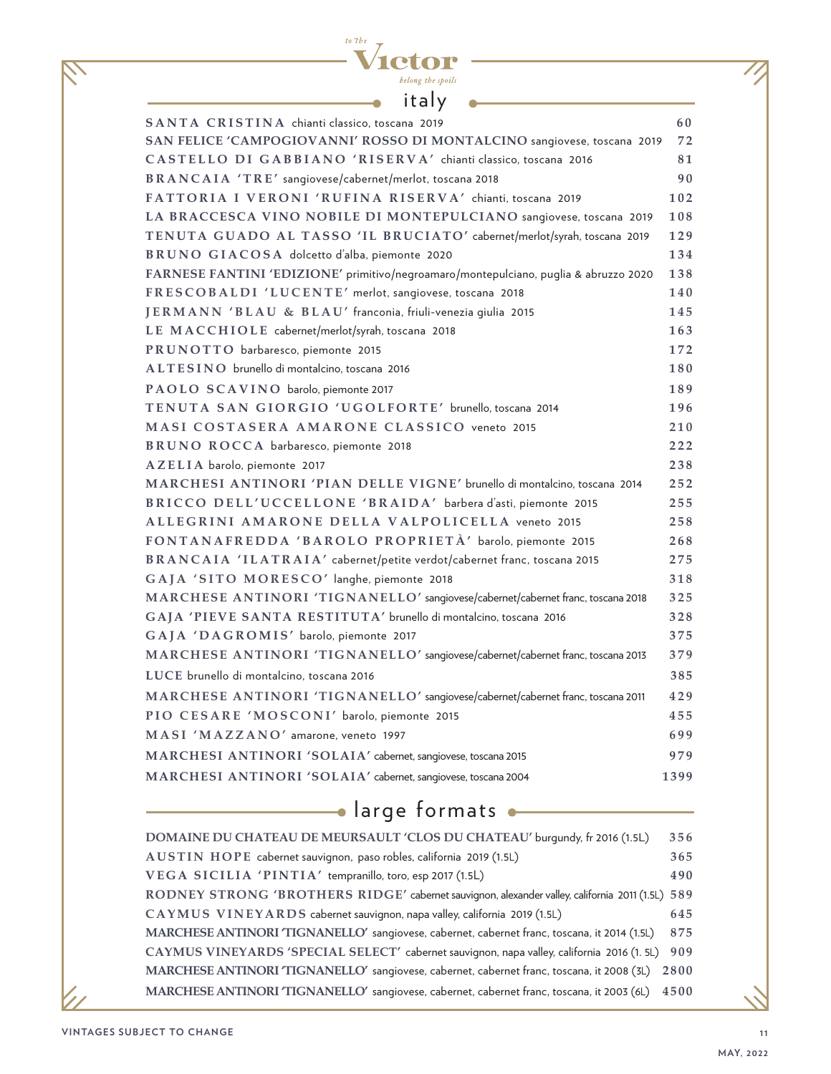| to the |                   |
|--------|-------------------|
|        | TOLOR             |
|        | belong the spoils |
|        |                   |

| italy                                                                                |      |
|--------------------------------------------------------------------------------------|------|
| SANTA CRISTINA chianti classico, toscana 2019                                        | 60   |
| SAN FELICE 'CAMPOGIOVANNI' ROSSO DI MONTALCINO sangiovese, toscana 2019              | 72   |
| CASTELLO DI GABBIANO 'RISERVA' chianti classico, toscana 2016                        | 81   |
| BRANCAIA 'TRE' sangiovese/cabernet/merlot, toscana 2018                              | 90   |
| FATTORIA I VERONI 'RUFINA RISERVA' chianti, toscana 2019                             | 102  |
| LA BRACCESCA VINO NOBILE DI MONTEPULCIANO sangiovese, toscana 2019                   | 108  |
| TENUTA GUADO AL TASSO 'IL BRUCIATO' cabernet/merlot/syrah, toscana 2019              | 129  |
| BRUNO GIACOSA dolcetto d'alba, piemonte 2020                                         | 134  |
| FARNESE FANTINI 'EDIZIONE' primitivo/negroamaro/montepulciano, puglia & abruzzo 2020 | 138  |
| FRESCOBALDI 'LUCENTE' merlot, sangiovese, toscana 2018                               | 140  |
| JERMANN 'BLAU & BLAU' franconia, friuli-venezia giulia 2015                          | 145  |
| LE MACCHIOLE cabernet/merlot/syrah, toscana 2018                                     | 163  |
| PRUNOTTO barbaresco, piemonte 2015                                                   | 172  |
| ALTESINO brunello di montalcino, toscana 2016                                        | 180  |
| PAOLO SCAVINO barolo, piemonte 2017                                                  | 189  |
| TENUTA SAN GIORGIO 'UGOLFORTE' brunello, toscana 2014                                | 196  |
| MASI COSTASERA AMARONE CLASSICO veneto 2015                                          | 210  |
| BRUNO ROCCA barbaresco, piemonte 2018                                                | 222  |
| AZELIA barolo, piemonte 2017                                                         | 238  |
| MARCHESI ANTINORI 'PIAN DELLE VIGNE' brunello di montalcino, toscana 2014            | 252  |
| BRICCO DELL'UCCELLONE 'BRAIDA' barbera d'asti, piemonte 2015                         | 255  |
| ALLEGRINI AMARONE DELLA VALPOLICELLA veneto 2015                                     | 258  |
| FONTANAFREDDA 'BAROLO PROPRIETÀ' barolo, piemonte 2015                               | 268  |
| BRANCAIA 'ILATRAIA' cabernet/petite verdot/cabernet franc, toscana 2015              | 275  |
| GAJA 'SITO MORESCO' langhe, piemonte 2018                                            | 318  |
| MARCHESE ANTINORI 'TIGNANELLO' sangiovese/cabernet/cabernet franc, toscana 2018      | 325  |
| GAJA 'PIEVE SANTA RESTITUTA' brunello di montalcino, toscana 2016                    | 328  |
| GAJA 'DAGROMIS' barolo, piemonte 2017                                                | 375  |
| MARCHESE ANTINORI 'TIGNANELLO' sangiovese/cabernet/cabernet franc, toscana 2013      | 379  |
| LUCE brunello di montalcino, toscana 2016                                            | 385  |
| MARCHESE ANTINORI 'TIGNANELLO' sangiovese/cabernet/cabernet franc, toscana 2011      | 429  |
| PIO CESARE 'MOSCONI' barolo, piemonte 2015                                           | 455  |
| MASI 'MAZZANO' amarone, veneto 1997                                                  | 699  |
| MARCHESI ANTINORI 'SOLAIA' cabernet, sangiovese, toscana 2015                        | 979  |
| MARCHESI ANTINORI 'SOLAIA' cabernet, sangiovese, toscana 2004                        | 1399 |

## alarge formats **and all the set of the set of the set of the set of the set of the set of the set of the set of the set of the set of the set of the set of the set of the set of the set of the set of the set of the set of**

| DOMAINE DU CHATEAU DE MEURSAULT 'CLOS DU CHATEAU' burqundy, fr 2016 (1.5L)                      | 356  |
|-------------------------------------------------------------------------------------------------|------|
| AUSTIN HOPE cabernet sauvignon, paso robles, california 2019 (1.5L)                             | 365  |
| VEGA SICILIA 'PINTIA' tempranillo, toro, esp 2017 (1.5L)                                        | 490  |
| RODNEY STRONG 'BROTHERS RIDGE' cabernet sauvignon, alexander valley, california 2011 (1.5L) 589 |      |
| CAYMUS VINEYARDS cabernet sauvignon, napa valley, california 2019 (1.5L)                        | 645  |
| MARCHESE ANTINORI 'TIGNANELLO' sangiovese, cabernet, cabernet franc, toscana, it 2014 (1.5L)    | 875  |
| CAYMUS VINEYARDS 'SPECIAL SELECT' cabernet sauvignon, napa valley, california 2016 (1. 5L)      | 909  |
| MARCHESE ANTINORI 'TIGNANELLO' sangiovese, cabernet, cabernet franc, toscana, it 2008 (3L)      | 2800 |
| MARCHESE ANTINORI 'TIGNANELLO' sangiovese, cabernet, cabernet franc, toscana, it 2003 (6L)      | 4500 |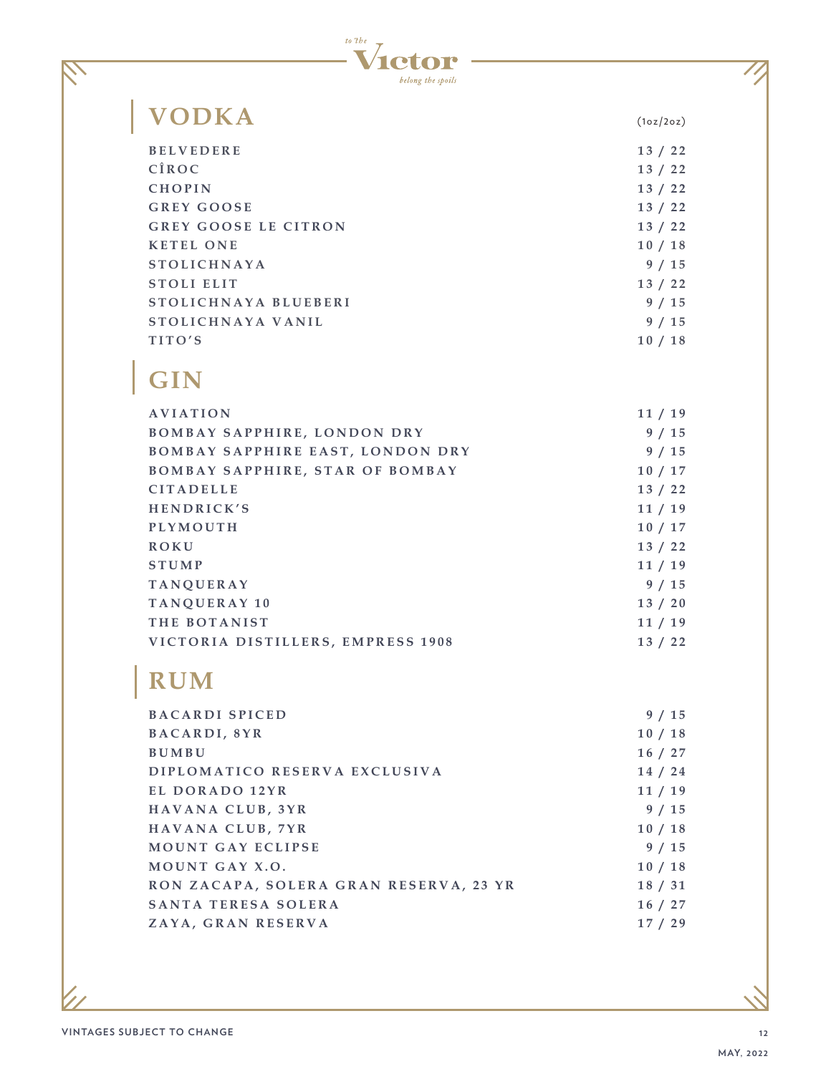

## **VODKA** (1oz/2oz)

S

| 13/22 |
|-------|
| 13/22 |
| 13/22 |
| 13/22 |
| 13/22 |
| 10/18 |
| 9/15  |
| 13/22 |
| 9/15  |
| 9/15  |
| 10/18 |
|       |

## **GIN**

| AVIATION                                | 11/19   |
|-----------------------------------------|---------|
| BOMBAY SAPPHIRE, LONDON DRY             | 9/15    |
| <b>BOMBAY SAPPHIRE EAST, LONDON DRY</b> | 9/15    |
| <b>BOMBAY SAPPHIRE, STAR OF BOMBAY</b>  | 10/17   |
| <b>CITADELLE</b>                        | 13/22   |
| HENDRICK'S                              | 11/19   |
| <b>PLYMOUTH</b>                         | 10/17   |
| <b>ROKU</b>                             | 13/22   |
| <b>STUMP</b>                            | 11/19   |
| <b>TANOUERAY</b>                        | 9/15    |
| TANOUERAY 10                            | 13 / 20 |
| THE BOTANIST                            | 11/19   |
| VICTORIA DISTILLERS, EMPRESS 1908       | 13/22   |

### **RUM**

| <b>BACARDI SPICED</b>                  | 9/15    |
|----------------------------------------|---------|
| BACARDI, 8YR                           | 10/18   |
| <b>BUMBU</b>                           | 16/27   |
| DIPLOMATICO RESERVA EXCLUSIVA          | 14 / 24 |
| EL DORADO 12YR                         | 11/19   |
| HAVANA CLUB, 3YR                       | 9/15    |
| HAVANA CLUB, 7YR                       | 10/18   |
| <b>MOUNT GAY ECLIPSE</b>               | 9/15    |
| MOUNT GAY X.O.                         | 10/18   |
| RON ZACAPA, SOLERA GRAN RESERVA, 23 YR | 18 / 31 |
| SANTA TERESA SOLERA                    | 16/27   |
| ZAYA, GRAN RESERVA                     | 17/29   |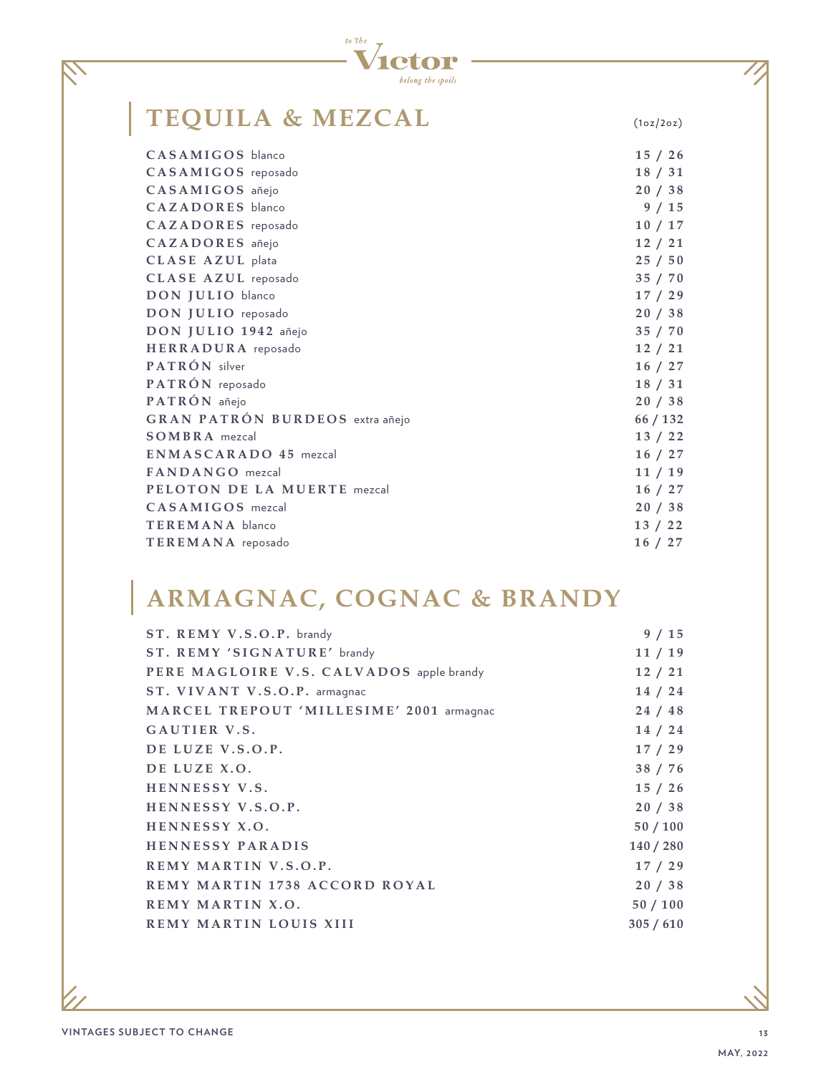

### **TEQUILA & MEZCAL** (1oz/2oz)

| CASAMIGOS blanco                       | 15/26    |
|----------------------------------------|----------|
| CASAMIGOS reposado                     | 18 / 31  |
| CASAMIGOS añejo                        | 20/38    |
| CAZADORES blanco                       | 9/15     |
| CAZADORES reposado                     | 10/17    |
| CAZADORES añejo                        | 12/21    |
| CLASE AZUL plata                       | 25/50    |
| CLASE AZUL reposado                    | 35 / 70  |
| DON JULIO blanco                       | 17/29    |
| DON JULIO reposado                     | 20/38    |
| DON JULIO 1942 añejo                   | 35 / 70  |
| HERRADURA reposado                     | 12/21    |
| PATRÓN silver                          | 16/27    |
| PATRÓN reposado                        | 18 / 31  |
| PATRÓN añejo                           | 20/38    |
| <b>GRAN PATRÓN BURDEOS</b> extra añejo | 66 / 132 |
| <b>SOMBRA</b> mezcal                   | 13 / 22  |
| <b>ENMASCARADO 45 mezcal</b>           | 16 / 27  |
| FANDANGO mezcal                        | 11/19    |
| PELOTON DE LA MUERTE mezcal            | 16 / 27  |
| CASAMIGOS mezcal                       | 20/38    |
| <b>TEREMANA</b> blanco                 | 13 / 22  |
| TEREMANA reposado                      | 16/27    |
|                                        |          |

## **ARMAGNAC, COGNAC & BRANDY**

| 9/15      |
|-----------|
| 11/19     |
| 12/21     |
| 14/24     |
| 24/48     |
| 14 / 24   |
| 17/29     |
| 38 / 76   |
| 15/26     |
| 20/38     |
| 50/100    |
| 140 / 280 |
| 17/29     |
| 20/38     |
| 50/100    |
| 305/610   |
|           |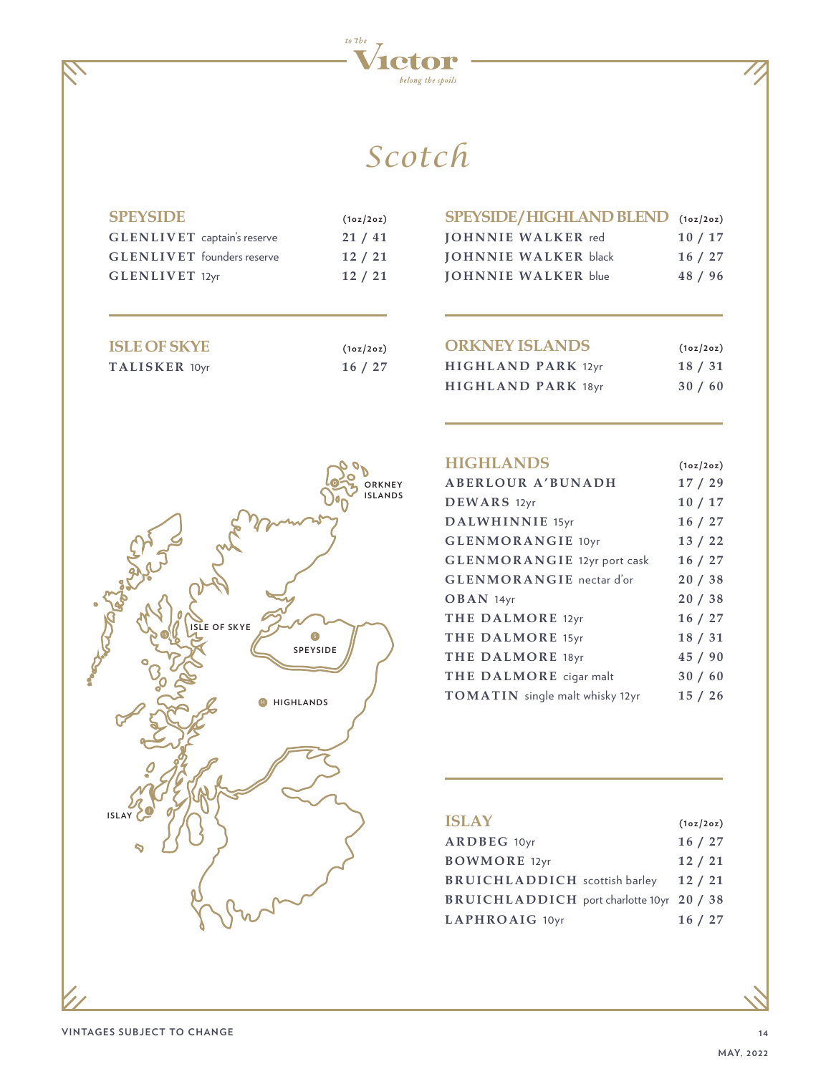

## *Scotch*

| <b>SPEYSIDE</b>                    | (1oz/2oz) |
|------------------------------------|-----------|
| <b>GLENLIVET</b> captain's reserve | 21/41     |

| <b>GLENLIVET</b> captain's reserve | 21/41 |
|------------------------------------|-------|
| <b>GLENLIVET</b> founders reserve  | 12/21 |
| <b>GLENLIVET</b> 12yr              | 12/21 |

| <b>ISLE OF SKYE</b> | (1oz/2oz) |
|---------------------|-----------|
| TALISKER 10yr       | 16/27     |

| SPEYSIDE/HIGHLAND BLEND (10z/20z) |         |
|-----------------------------------|---------|
| <b>IOHNNIE WALKER</b> red         | 10/17   |
| <b>JOHNNIE WALKER black</b>       | 16/27   |
| <b>JOHNNIE WALKER blue</b>        | 48 / 96 |

| <b>ORKNEY ISLANDS</b>     | (1oz/2oz) |
|---------------------------|-----------|
| HIGHLAND PARK 12yr        | 18 / 31   |
| <b>HIGHLAND PARK 18yr</b> | 30/60     |



| <b>HIGHLANDS</b>                   | (1oz/2oz) |
|------------------------------------|-----------|
| <b>ABERLOUR A'BUNADH</b>           | 17/29     |
| DEWARS 12yr                        | 10/17     |
| DALWHINNIE 15yr                    | 16/27     |
| <b>GLENMORANGIE 10yr</b>           | 13/22     |
| <b>GLENMORANGIE</b> 12yr port cask | 16/27     |
| <b>GLENMORANGIE</b> nectar d'or    | 20/38     |
| $OBAN$ 14yr                        | 20/38     |
| THE DALMORE 12yr                   | 16/27     |
| THE DALMORE 15yr                   | 18/31     |
| THE DALMORE 18yr                   | 45/90     |
| THE DALMORE cigar malt             | 30/60     |
| TOMATIN single malt whisky 12yr    | 15/26     |

| <b>ISLAY</b>                                     | (1oz/2oz) |
|--------------------------------------------------|-----------|
| ARDBEG 10yr                                      | 16/27     |
| <b>BOWMORE</b> 12yr                              | 12/21     |
| <b>BRUICHLADDICH</b> scottish barley             | 12/21     |
| <b>BRUICHLADDICH</b> port charlotte 10yr 20 / 38 |           |
| LAPHROAIG 10yr                                   | 16/27     |